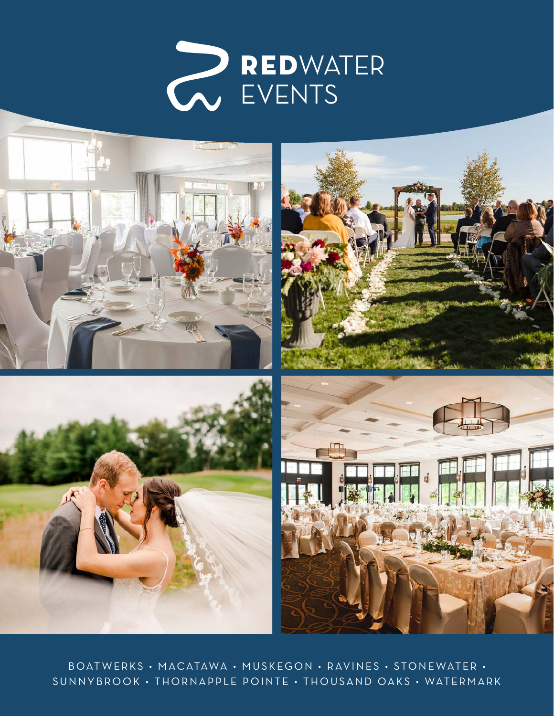



BOAT WERKS • MACATAWA • MUSKEGON • RAVINES • STONE WATER • SUNNYBROOK • THORNAPPLE POINTE • THOUSAND OAKS • WATERMARK